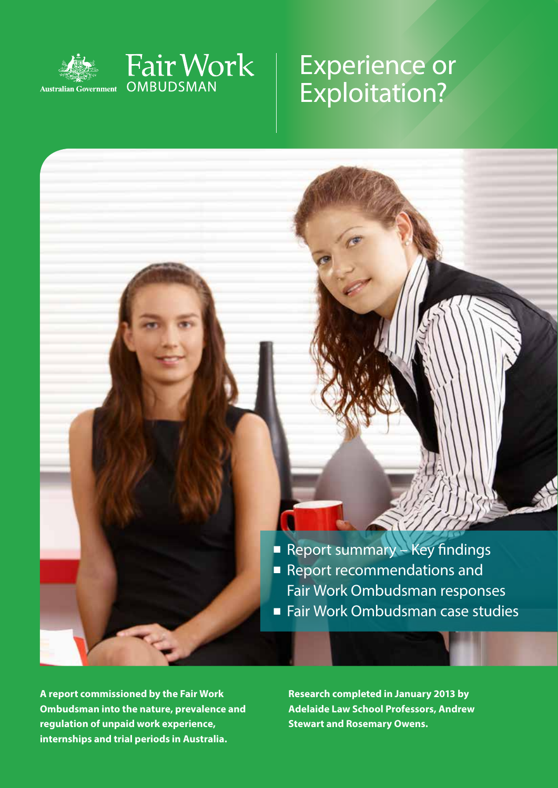

Fair Work

OMBUDSMAN

# Experience or Exploitation?

■ Report summary – Key findings ■ Report recommendations and Fair Work Ombudsman responses ■ Fair Work Ombudsman case studies

**A report commissioned by the Fair Work Ombudsman into the nature, prevalence and regulation of unpaid work experience, internships and trial periods in Australia.**

**Research completed in January 2013 by Adelaide Law School Professors, Andrew Stewart and Rosemary Owens.**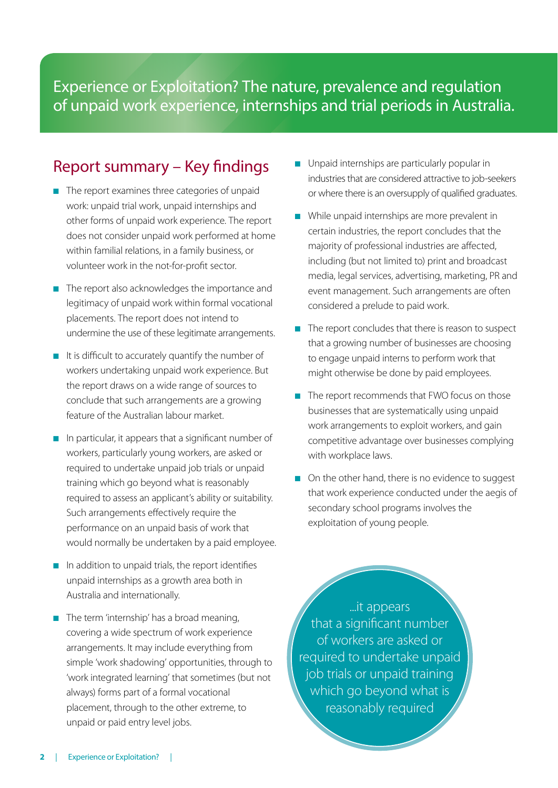Experience or Exploitation? The nature, prevalence and regulation of unpaid work experience, internships and trial periods in Australia.

### Report summary – Key findings

- The report examines three categories of unpaid work: unpaid trial work, unpaid internships and other forms of unpaid work experience. The report does not consider unpaid work performed at home within familial relations, in a family business, or volunteer work in the not-for-profit sector.
- The report also acknowledges the importance and legitimacy of unpaid work within formal vocational placements. The report does not intend to undermine the use of these legitimate arrangements.
- It is difficult to accurately quantify the number of workers undertaking unpaid work experience. But the report draws on a wide range of sources to conclude that such arrangements are a growing feature of the Australian labour market.
- In particular, it appears that a significant number of workers, particularly young workers, are asked or required to undertake unpaid job trials or unpaid training which go beyond what is reasonably required to assess an applicant's ability or suitability. Such arrangements effectively require the performance on an unpaid basis of work that would normally be undertaken by a paid employee.
- In addition to unpaid trials, the report identifies unpaid internships as a growth area both in Australia and internationally.
- The term 'internship' has a broad meaning, covering a wide spectrum of work experience arrangements. It may include everything from simple 'work shadowing' opportunities, through to 'work integrated learning' that sometimes (but not always) forms part of a formal vocational placement, through to the other extreme, to unpaid or paid entry level jobs.
- Unpaid internships are particularly popular in industries that are considered attractive to job-seekers or where there is an oversupply of qualified graduates.
- While unpaid internships are more prevalent in certain industries, the report concludes that the majority of professional industries are affected, including (but not limited to) print and broadcast media, legal services, advertising, marketing, PR and event management. Such arrangements are often considered a prelude to paid work.
- The report concludes that there is reason to suspect that a growing number of businesses are choosing to engage unpaid interns to perform work that might otherwise be done by paid employees.
- The report recommends that FWO focus on those businesses that are systematically using unpaid work arrangements to exploit workers, and gain competitive advantage over businesses complying with workplace laws.
- On the other hand, there is no evidence to suggest that work experience conducted under the aegis of secondary school programs involves the exploitation of young people.

...it appears that a significant number of workers are asked or required to undertake unpaid job trials or unpaid training which go beyond what is reasonably required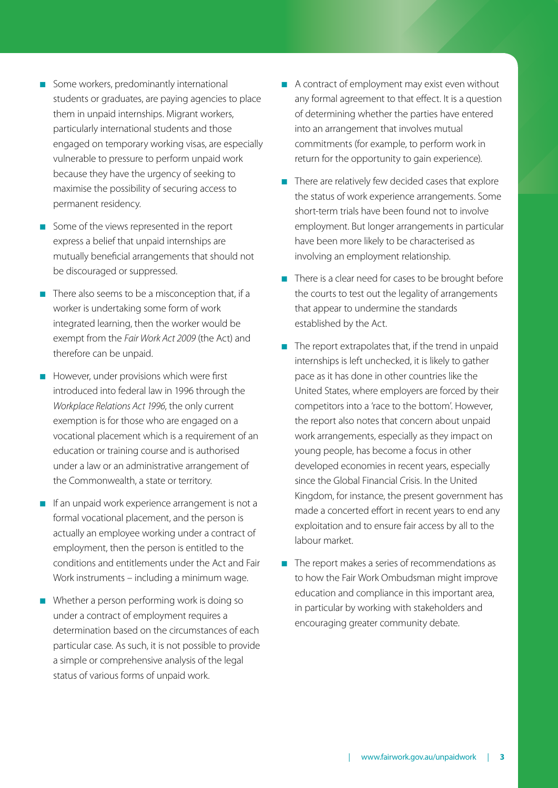- Some workers, predominantly international students or graduates, are paying agencies to place them in unpaid internships. Migrant workers, particularly international students and those engaged on temporary working visas, are especially vulnerable to pressure to perform unpaid work because they have the urgency of seeking to maximise the possibility of securing access to permanent residency.
- Some of the views represented in the report express a belief that unpaid internships are mutually beneficial arrangements that should not be discouraged or suppressed.
- There also seems to be a misconception that, if a worker is undertaking some form of work integrated learning, then the worker would be exempt from the *Fair Work Act 2009* (the Act) and therefore can be unpaid.
- However, under provisions which were first introduced into federal law in 1996 through the *Workplace Relations Act 1996*, the only current exemption is for those who are engaged on a vocational placement which is a requirement of an education or training course and is authorised under a law or an administrative arrangement of the Commonwealth, a state or territory.
- If an unpaid work experience arrangement is not a formal vocational placement, and the person is actually an employee working under a contract of employment, then the person is entitled to the conditions and entitlements under the Act and Fair Work instruments – including a minimum wage.
- Whether a person performing work is doing so under a contract of employment requires a determination based on the circumstances of each particular case. As such, it is not possible to provide a simple or comprehensive analysis of the legal status of various forms of unpaid work.
- A contract of employment may exist even without any formal agreement to that effect. It is a question of determining whether the parties have entered into an arrangement that involves mutual commitments (for example, to perform work in return for the opportunity to gain experience).
- There are relatively few decided cases that explore the status of work experience arrangements. Some short-term trials have been found not to involve employment. But longer arrangements in particular have been more likely to be characterised as involving an employment relationship.
- There is a clear need for cases to be brought before the courts to test out the legality of arrangements that appear to undermine the standards established by the Act.
- The report extrapolates that, if the trend in unpaid internships is left unchecked, it is likely to gather pace as it has done in other countries like the United States, where employers are forced by their competitors into a 'race to the bottom'. However, the report also notes that concern about unpaid work arrangements, especially as they impact on young people, has become a focus in other developed economies in recent years, especially since the Global Financial Crisis. In the United Kingdom, for instance, the present government has made a concerted effort in recent years to end any exploitation and to ensure fair access by all to the labour market.
- The report makes a series of recommendations as to how the Fair Work Ombudsman might improve education and compliance in this important area, in particular by working with stakeholders and encouraging greater community debate.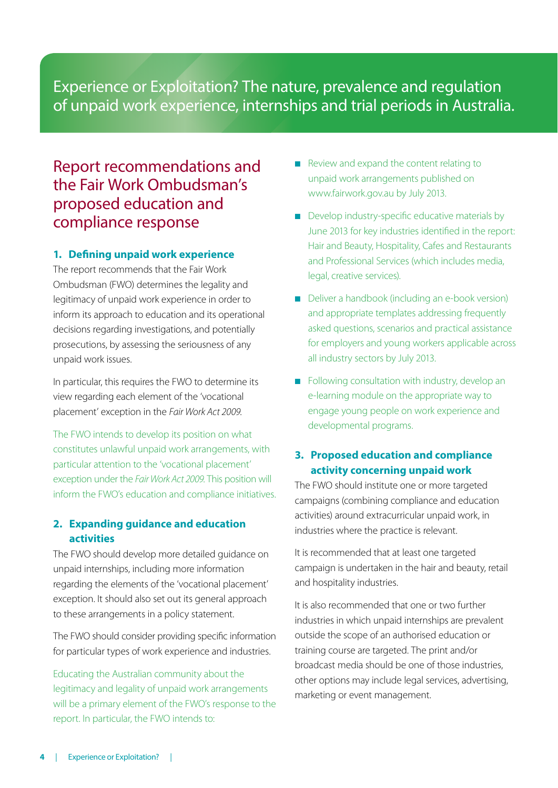## Experience or Exploitation? The nature, prevalence and regulation of unpaid work experience, internships and trial periods in Australia.

# Report recommendations and the Fair Work Ombudsman's proposed education and compliance response

### **1. Defining unpaid work experience**

The report recommends that the Fair Work Ombudsman (FWO) determines the legality and legitimacy of unpaid work experience in order to inform its approach to education and its operational decisions regarding investigations, and potentially prosecutions, by assessing the seriousness of any unpaid work issues.

In particular, this requires the FWO to determine its view regarding each element of the 'vocational placement' exception in the *Fair Work Act 2009*.

The FWO intends to develop its position on what constitutes unlawful unpaid work arrangements, with particular attention to the 'vocational placement' exception under the *Fair Work Act 2009*. This position will inform the FWO's education and compliance initiatives.

### **2. Expanding guidance and education activities**

The FWO should develop more detailed guidance on unpaid internships, including more information regarding the elements of the 'vocational placement' exception. It should also set out its general approach to these arrangements in a policy statement.

The FWO should consider providing specific information for particular types of work experience and industries.

Educating the Australian community about the legitimacy and legality of unpaid work arrangements will be a primary element of the FWO's response to the report. In particular, the FWO intends to:

- Review and expand the content relating to unpaid work arrangements published on www.fairwork.gov.au by July 2013.
- Develop industry-specific educative materials by June 2013 for key industries identified in the report: Hair and Beauty, Hospitality, Cafes and Restaurants and Professional Services (which includes media, legal, creative services).
- Deliver a handbook (including an e-book version) and appropriate templates addressing frequently asked questions, scenarios and practical assistance for employers and young workers applicable across all industry sectors by July 2013.
- Following consultation with industry, develop an e-learning module on the appropriate way to engage young people on work experience and developmental programs.

### **3. Proposed education and compliance activity concerning unpaid work**

The FWO should institute one or more targeted campaigns (combining compliance and education activities) around extracurricular unpaid work, in industries where the practice is relevant.

It is recommended that at least one targeted campaign is undertaken in the hair and beauty, retail and hospitality industries.

It is also recommended that one or two further industries in which unpaid internships are prevalent outside the scope of an authorised education or training course are targeted. The print and/or broadcast media should be one of those industries, other options may include legal services, advertising, marketing or event management.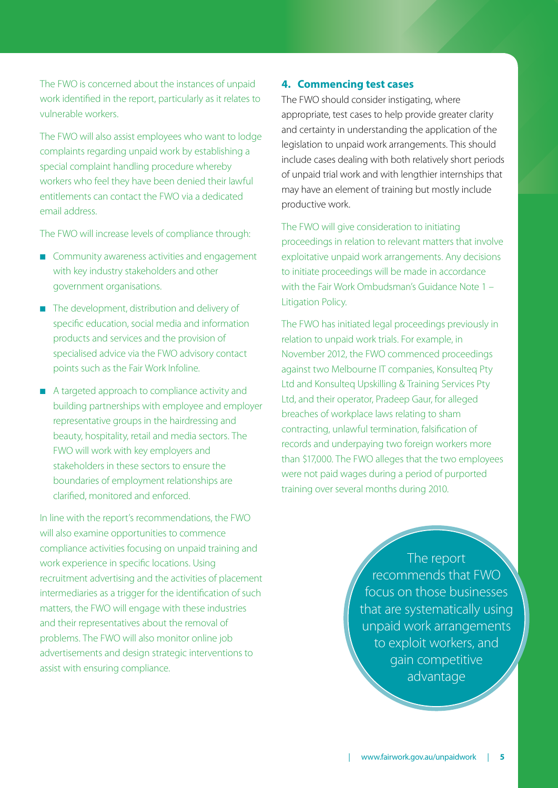The FWO is concerned about the instances of unpaid work identified in the report, particularly as it relates to vulnerable workers.

The FWO will also assist employees who want to lodge complaints regarding unpaid work by establishing a special complaint handling procedure whereby workers who feel they have been denied their lawful entitlements can contact the FWO via a dedicated email address.

The FWO will increase levels of compliance through:

- Community awareness activities and engagement with key industry stakeholders and other government organisations.
- The development, distribution and delivery of specific education, social media and information products and services and the provision of specialised advice via the FWO advisory contact points such as the Fair Work Infoline.
- A targeted approach to compliance activity and building partnerships with employee and employer representative groups in the hairdressing and beauty, hospitality, retail and media sectors. The FWO will work with key employers and stakeholders in these sectors to ensure the boundaries of employment relationships are clarified, monitored and enforced.

In line with the report's recommendations, the FWO will also examine opportunities to commence compliance activities focusing on unpaid training and work experience in specific locations. Using recruitment advertising and the activities of placement intermediaries as a trigger for the identification of such matters, the FWO will engage with these industries and their representatives about the removal of problems. The FWO will also monitor online job advertisements and design strategic interventions to assist with ensuring compliance.

#### **4. Commencing test cases**

The FWO should consider instigating, where appropriate, test cases to help provide greater clarity and certainty in understanding the application of the legislation to unpaid work arrangements. This should include cases dealing with both relatively short periods of unpaid trial work and with lengthier internships that may have an element of training but mostly include productive work.

#### The FWO will give consideration to initiating

proceedings in relation to relevant matters that involve exploitative unpaid work arrangements. Any decisions to initiate proceedings will be made in accordance with the Fair Work Ombudsman's Guidance Note 1 – Litigation Policy.

The FWO has initiated legal proceedings previously in relation to unpaid work trials. For example, in November 2012, the FWO commenced proceedings against two Melbourne IT companies, Konsulteq Pty Ltd and Konsulteq Upskilling & Training Services Pty Ltd, and their operator, Pradeep Gaur, for alleged breaches of workplace laws relating to sham contracting, unlawful termination, falsification of records and underpaying two foreign workers more than \$17,000. The FWO alleges that the two employees were not paid wages during a period of purported training over several months during 2010.

> The report recommends that FWO focus on those businesses that are systematically using unpaid work arrangements to exploit workers, and gain competitive advantage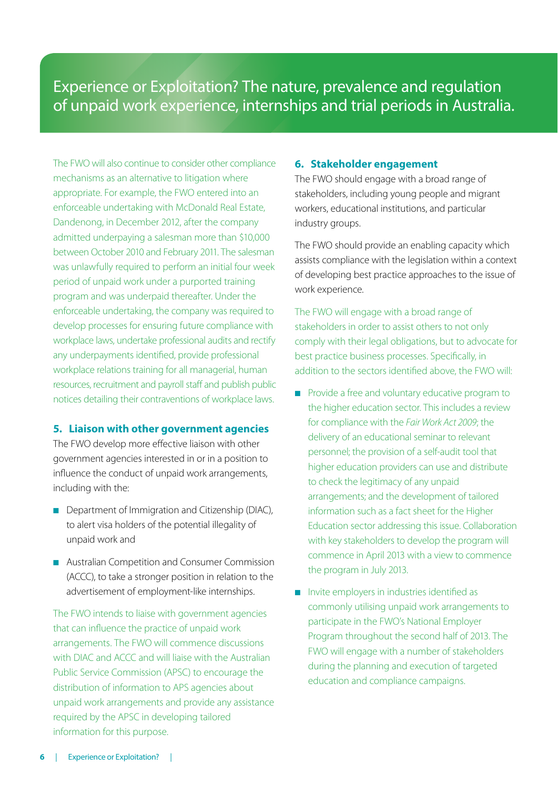# Experience or Exploitation? The nature, prevalence and regulation of unpaid work experience, internships and trial periods in Australia.

The FWO will also continue to consider other compliance mechanisms as an alternative to litigation where appropriate. For example, the FWO entered into an enforceable undertaking with McDonald Real Estate, Dandenong, in December 2012, after the company admitted underpaying a salesman more than \$10,000 between October 2010 and February 2011. The salesman was unlawfully required to perform an initial four week period of unpaid work under a purported training program and was underpaid thereafter. Under the enforceable undertaking, the company was required to develop processes for ensuring future compliance with workplace laws, undertake professional audits and rectify any underpayments identified, provide professional workplace relations training for all managerial, human resources, recruitment and payroll staff and publish public notices detailing their contraventions of workplace laws.

#### **5. Liaison with other government agencies**

The FWO develop more effective liaison with other government agencies interested in or in a position to influence the conduct of unpaid work arrangements, including with the:

- Department of Immigration and Citizenship (DIAC), to alert visa holders of the potential illegality of unpaid work and
- Australian Competition and Consumer Commission (ACCC), to take a stronger position in relation to the advertisement of employment-like internships.

The FWO intends to liaise with government agencies that can influence the practice of unpaid work arrangements. The FWO will commence discussions with DIAC and ACCC and will liaise with the Australian Public Service Commission (APSC) to encourage the distribution of information to APS agencies about unpaid work arrangements and provide any assistance required by the APSC in developing tailored information for this purpose.

#### **6. Stakeholder engagement**

The FWO should engage with a broad range of stakeholders, including young people and migrant workers, educational institutions, and particular industry groups.

The FWO should provide an enabling capacity which assists compliance with the legislation within a context of developing best practice approaches to the issue of work experience.

The FWO will engage with a broad range of stakeholders in order to assist others to not only comply with their legal obligations, but to advocate for best practice business processes. Specifically, in addition to the sectors identified above, the FWO will:

- Provide a free and voluntary educative program to the higher education sector. This includes a review for compliance with the *Fair Work Act 2009*; the delivery of an educational seminar to relevant personnel; the provision of a self-audit tool that higher education providers can use and distribute to check the legitimacy of any unpaid arrangements; and the development of tailored information such as a fact sheet for the Higher Education sector addressing this issue. Collaboration with key stakeholders to develop the program will commence in April 2013 with a view to commence the program in July 2013.
- Invite employers in industries identified as commonly utilising unpaid work arrangements to participate in the FWO's National Employer Program throughout the second half of 2013. The FWO will engage with a number of stakeholders during the planning and execution of targeted education and compliance campaigns.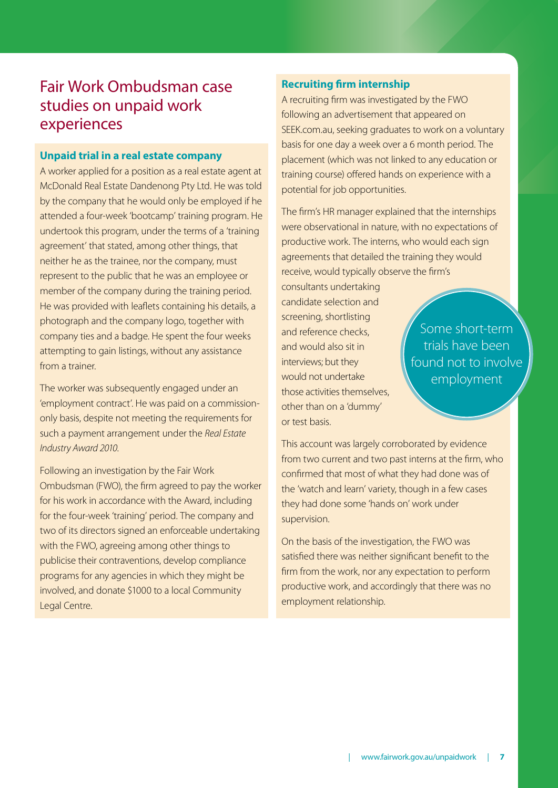# Fair Work Ombudsman case studies on unpaid work experiences

#### **Unpaid trial in a real estate company**

A worker applied for a position as a real estate agent at McDonald Real Estate Dandenong Pty Ltd. He was told by the company that he would only be employed if he attended a four-week 'bootcamp' training program. He undertook this program, under the terms of a 'training agreement' that stated, among other things, that neither he as the trainee, nor the company, must represent to the public that he was an employee or member of the company during the training period. He was provided with leaflets containing his details, a photograph and the company logo, together with company ties and a badge. He spent the four weeks attempting to gain listings, without any assistance from a trainer.

The worker was subsequently engaged under an 'employment contract'. He was paid on a commissiononly basis, despite not meeting the requirements for such a payment arrangement under the *Real Estate Industry Award 2010*.

Following an investigation by the Fair Work Ombudsman (FWO), the firm agreed to pay the worker for his work in accordance with the Award, including for the four-week 'training' period. The company and two of its directors signed an enforceable undertaking with the FWO, agreeing among other things to publicise their contraventions, develop compliance programs for any agencies in which they might be involved, and donate \$1000 to a local Community Legal Centre.

### **Recruiting firm internship**

A recruiting firm was investigated by the FWO following an advertisement that appeared on SEEK.com.au, seeking graduates to work on a voluntary basis for one day a week over a 6 month period. The placement (which was not linked to any education or training course) offered hands on experience with a potential for job opportunities.

The firm's HR manager explained that the internships were observational in nature, with no expectations of productive work. The interns, who would each sign agreements that detailed the training they would receive, would typically observe the firm's

consultants undertaking candidate selection and screening, shortlisting and reference checks, and would also sit in interviews; but they would not undertake those activities themselves, other than on a 'dummy' or test basis.

Some short-term trials have been found not to involve employment

This account was largely corroborated by evidence from two current and two past interns at the firm, who confirmed that most of what they had done was of the 'watch and learn' variety, though in a few cases they had done some 'hands on' work under supervision.

On the basis of the investigation, the FWO was satisfied there was neither significant benefit to the firm from the work, nor any expectation to perform productive work, and accordingly that there was no employment relationship.